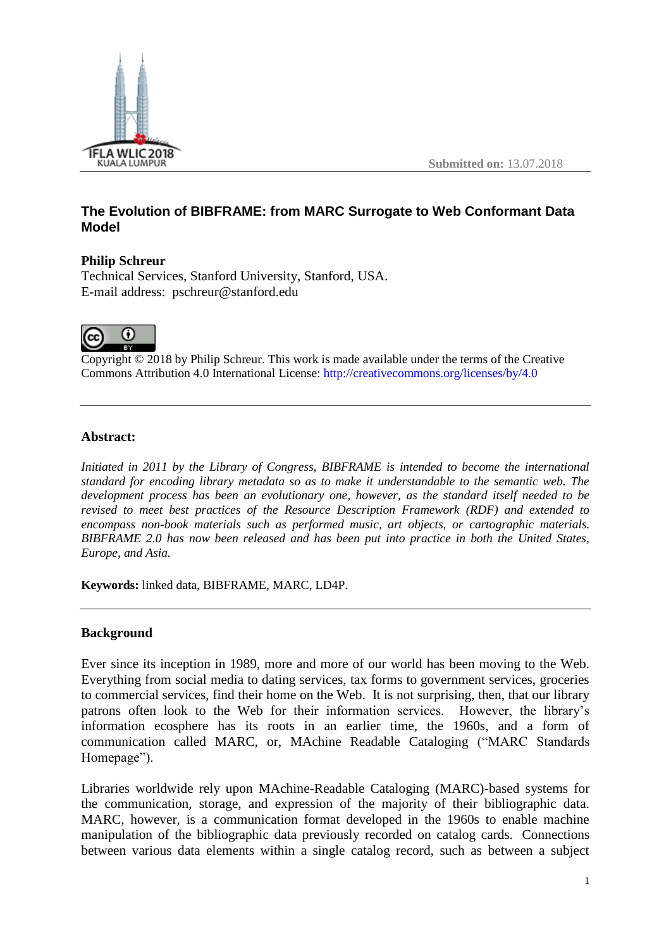

# **The Evolution of BIBFRAME: from MARC Surrogate to Web Conformant Data Model**

### **Philip Schreur**

Technical Services, Stanford University, Stanford, USA. E-mail address: pschreur@stanford.edu



Copyright © 2018 by Philip Schreur. This work is made available under the terms of the Creative Commons Attribution 4.0 International License: <http://creativecommons.org/licenses/by/4.0>

### **Abstract:**

*Initiated in 2011 by the Library of Congress, BIBFRAME is intended to become the international standard for encoding library metadata so as to make it understandable to the semantic web. The development process has been an evolutionary one, however, as the standard itself needed to be revised to meet best practices of the Resource Description Framework (RDF) and extended to encompass non-book materials such as performed music, art objects, or cartographic materials. BIBFRAME 2.0 has now been released and has been put into practice in both the United States, Europe, and Asia.*

**Keywords:** linked data, BIBFRAME, MARC, LD4P.

## **Background**

Ever since its inception in 1989, more and more of our world has been moving to the Web. Everything from social media to dating services, tax forms to government services, groceries to commercial services, find their home on the Web. It is not surprising, then, that our library patrons often look to the Web for their information services. However, the library's information ecosphere has its roots in an earlier time, the 1960s, and a form of communication called MARC, or, MAchine Readable Cataloging ("MARC Standards Homepage").

Libraries worldwide rely upon MAchine-Readable Cataloging (MARC)-based systems for the communication, storage, and expression of the majority of their bibliographic data. MARC, however, is a communication format developed in the 1960s to enable machine manipulation of the bibliographic data previously recorded on catalog cards. Connections between various data elements within a single catalog record, such as between a subject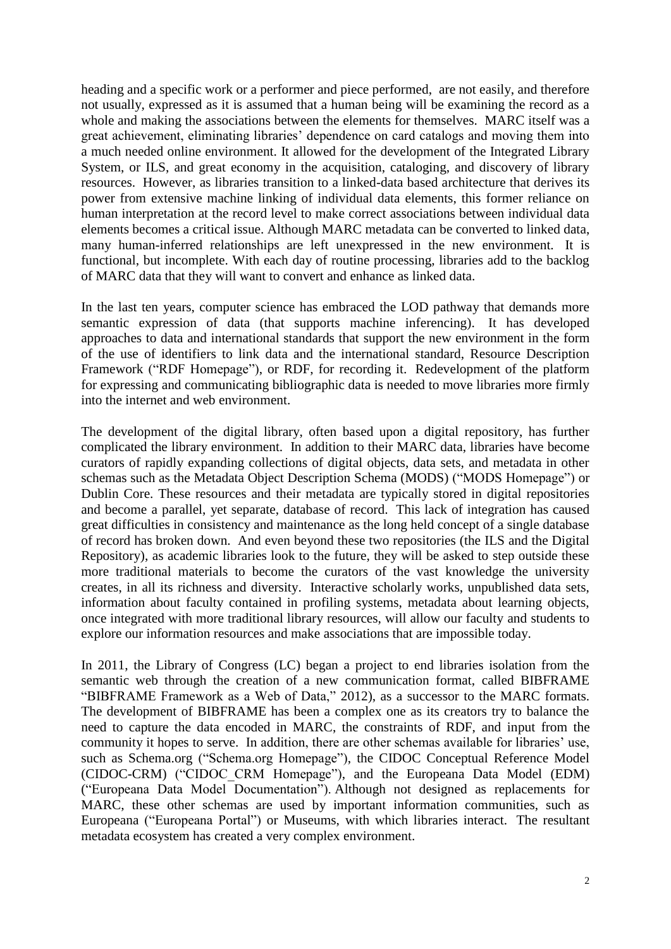heading and a specific work or a performer and piece performed, are not easily, and therefore not usually, expressed as it is assumed that a human being will be examining the record as a whole and making the associations between the elements for themselves. MARC itself was a great achievement, eliminating libraries' dependence on card catalogs and moving them into a much needed online environment. It allowed for the development of the Integrated Library System, or ILS, and great economy in the acquisition, cataloging, and discovery of library resources. However, as libraries transition to a linked-data based architecture that derives its power from extensive machine linking of individual data elements, this former reliance on human interpretation at the record level to make correct associations between individual data elements becomes a critical issue. Although MARC metadata can be converted to linked data, many human-inferred relationships are left unexpressed in the new environment. It is functional, but incomplete. With each day of routine processing, libraries add to the backlog of MARC data that they will want to convert and enhance as linked data.

In the last ten years, computer science has embraced the LOD pathway that demands more semantic expression of data (that supports machine inferencing). It has developed approaches to data and international standards that support the new environment in the form of the use of identifiers to link data and the international standard, Resource Description Framework ("RDF Homepage"), or RDF, for recording it. Redevelopment of the platform for expressing and communicating bibliographic data is needed to move libraries more firmly into the internet and web environment.

The development of the digital library, often based upon a digital repository, has further complicated the library environment. In addition to their MARC data, libraries have become curators of rapidly expanding collections of digital objects, data sets, and metadata in other schemas such as the Metadata Object Description Schema (MODS) ("MODS Homepage") or Dublin Core. These resources and their metadata are typically stored in digital repositories and become a parallel, yet separate, database of record. This lack of integration has caused great difficulties in consistency and maintenance as the long held concept of a single database of record has broken down. And even beyond these two repositories (the ILS and the Digital Repository), as academic libraries look to the future, they will be asked to step outside these more traditional materials to become the curators of the vast knowledge the university creates, in all its richness and diversity. Interactive scholarly works, unpublished data sets, information about faculty contained in profiling systems, metadata about learning objects, once integrated with more traditional library resources, will allow our faculty and students to explore our information resources and make associations that are impossible today.

In 2011, the Library of Congress (LC) began a project to end libraries isolation from the semantic web through the creation of a new communication format, called BIBFRAME "BIBFRAME Framework as a Web of Data," 2012), as a successor to the MARC formats. The development of BIBFRAME has been a complex one as its creators try to balance the need to capture the data encoded in MARC, the constraints of RDF, and input from the community it hopes to serve. In addition, there are other schemas available for libraries' use, such as Schema.org ("Schema.org Homepage"), the CIDOC Conceptual Reference Model (CIDOC-CRM) ("CIDOC\_CRM Homepage"), and the Europeana Data Model (EDM) ("Europeana Data Model Documentation"). Although not designed as replacements for MARC, these other schemas are used by important information communities, such as Europeana ("Europeana Portal") or Museums, with which libraries interact. The resultant metadata ecosystem has created a very complex environment.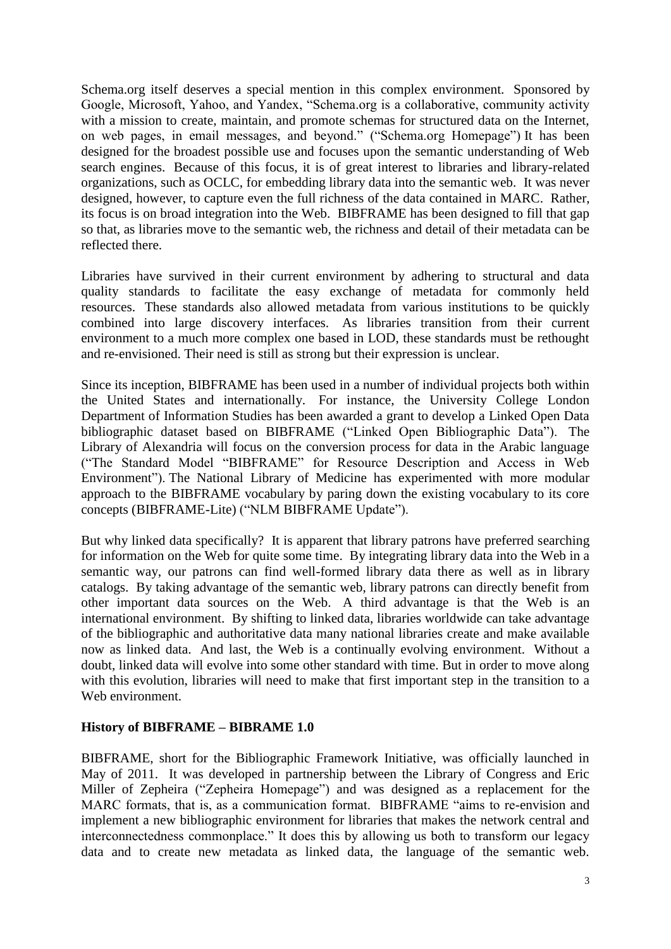Schema.org itself deserves a special mention in this complex environment. Sponsored by Google, Microsoft, Yahoo, and Yandex, "Schema.org is a collaborative, community activity with a mission to create, maintain, and promote schemas for structured data on the Internet, on web pages, in email messages, and beyond." ("Schema.org Homepage") It has been designed for the broadest possible use and focuses upon the semantic understanding of Web search engines. Because of this focus, it is of great interest to libraries and library-related organizations, such as OCLC, for embedding library data into the semantic web. It was never designed, however, to capture even the full richness of the data contained in MARC. Rather, its focus is on broad integration into the Web. BIBFRAME has been designed to fill that gap so that, as libraries move to the semantic web, the richness and detail of their metadata can be reflected there.

Libraries have survived in their current environment by adhering to structural and data quality standards to facilitate the easy exchange of metadata for commonly held resources. These standards also allowed metadata from various institutions to be quickly combined into large discovery interfaces. As libraries transition from their current environment to a much more complex one based in LOD, these standards must be rethought and re-envisioned. Their need is still as strong but their expression is unclear.

Since its inception, BIBFRAME has been used in a number of individual projects both within the United States and internationally. For instance, the University College London Department of Information Studies has been awarded a grant to develop a Linked Open Data bibliographic dataset based on BIBFRAME ("Linked Open Bibliographic Data"). The Library of Alexandria will focus on the conversion process for data in the Arabic language ("The Standard Model "BIBFRAME" for Resource Description and Access in Web Environment"). The National Library of Medicine has experimented with more modular approach to the BIBFRAME vocabulary by paring down the existing vocabulary to its core concepts (BIBFRAME-Lite) ("NLM BIBFRAME Update").

But why linked data specifically? It is apparent that library patrons have preferred searching for information on the Web for quite some time. By integrating library data into the Web in a semantic way, our patrons can find well-formed library data there as well as in library catalogs. By taking advantage of the semantic web, library patrons can directly benefit from other important data sources on the Web. A third advantage is that the Web is an international environment. By shifting to linked data, libraries worldwide can take advantage of the bibliographic and authoritative data many national libraries create and make available now as linked data. And last, the Web is a continually evolving environment. Without a doubt, linked data will evolve into some other standard with time. But in order to move along with this evolution, libraries will need to make that first important step in the transition to a Web environment.

### **History of BIBFRAME – BIBRAME 1.0**

BIBFRAME, short for the Bibliographic Framework Initiative, was officially launched in May of 2011. It was developed in partnership between the Library of Congress and Eric Miller of Zepheira ("Zepheira Homepage") and was designed as a replacement for the MARC formats, that is, as a communication format. BIBFRAME "aims to re-envision and implement a new bibliographic environment for libraries that makes the network central and interconnectedness commonplace." It does this by allowing us both to transform our legacy data and to create new metadata as linked data, the language of the semantic web.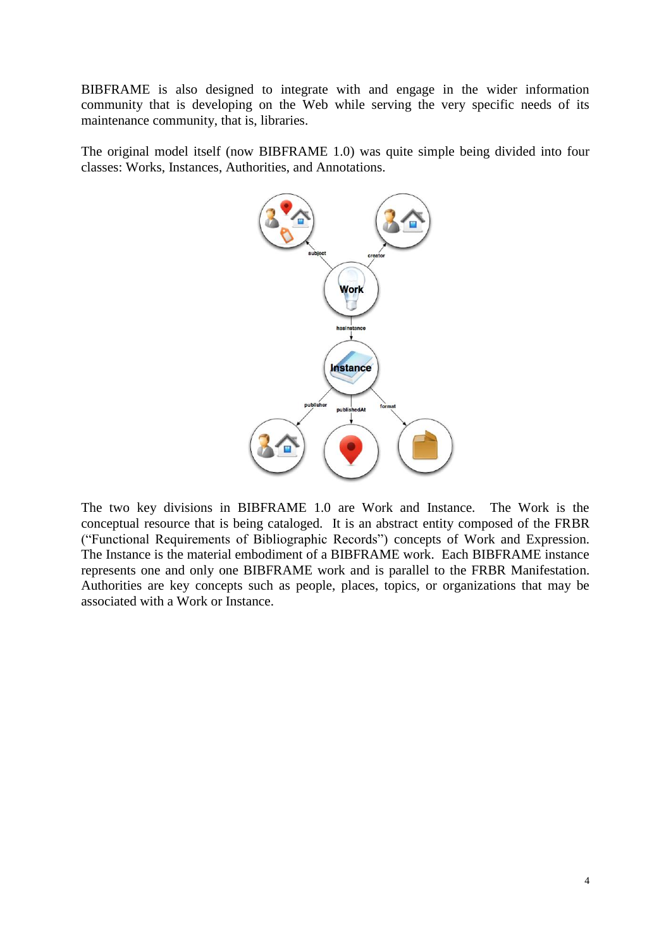BIBFRAME is also designed to integrate with and engage in the wider information community that is developing on the Web while serving the very specific needs of its maintenance community, that is, libraries.

The original model itself (now BIBFRAME 1.0) was quite simple being divided into four classes: Works, Instances, Authorities, and Annotations.



The two key divisions in BIBFRAME 1.0 are Work and Instance. The Work is the conceptual resource that is being cataloged. It is an abstract entity composed of the FRBR ("Functional Requirements of Bibliographic Records") concepts of Work and Expression. The Instance is the material embodiment of a BIBFRAME work. Each BIBFRAME instance represents one and only one BIBFRAME work and is parallel to the FRBR Manifestation. Authorities are key concepts such as people, places, topics, or organizations that may be associated with a Work or Instance.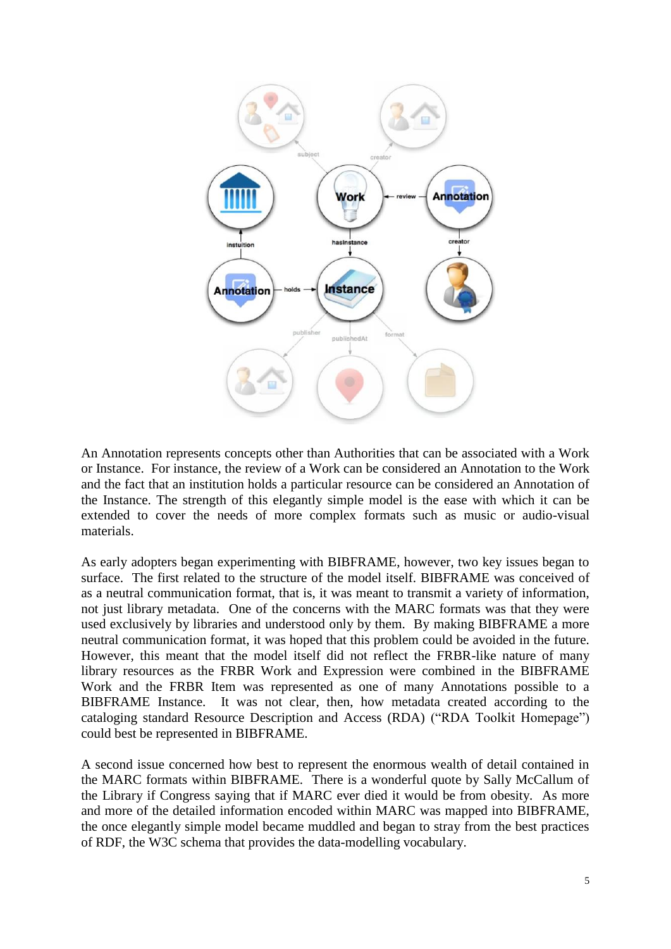

An Annotation represents concepts other than Authorities that can be associated with a Work or Instance. For instance, the review of a Work can be considered an Annotation to the Work and the fact that an institution holds a particular resource can be considered an Annotation of the Instance. The strength of this elegantly simple model is the ease with which it can be extended to cover the needs of more complex formats such as music or audio-visual materials.

As early adopters began experimenting with BIBFRAME, however, two key issues began to surface. The first related to the structure of the model itself. BIBFRAME was conceived of as a neutral communication format, that is, it was meant to transmit a variety of information, not just library metadata. One of the concerns with the MARC formats was that they were used exclusively by libraries and understood only by them. By making BIBFRAME a more neutral communication format, it was hoped that this problem could be avoided in the future. However, this meant that the model itself did not reflect the FRBR-like nature of many library resources as the FRBR Work and Expression were combined in the BIBFRAME Work and the FRBR Item was represented as one of many Annotations possible to a BIBFRAME Instance. It was not clear, then, how metadata created according to the cataloging standard Resource Description and Access (RDA) ("RDA Toolkit Homepage") could best be represented in BIBFRAME.

A second issue concerned how best to represent the enormous wealth of detail contained in the MARC formats within BIBFRAME. There is a wonderful quote by Sally McCallum of the Library if Congress saying that if MARC ever died it would be from obesity. As more and more of the detailed information encoded within MARC was mapped into BIBFRAME, the once elegantly simple model became muddled and began to stray from the best practices of RDF, the W3C schema that provides the data-modelling vocabulary.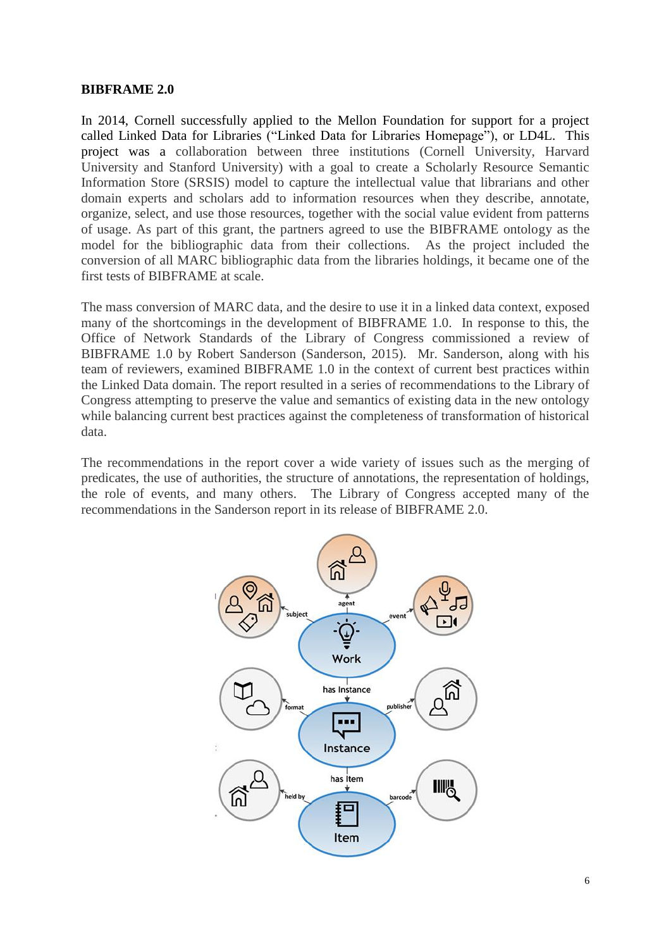#### **BIBFRAME 2.0**

In 2014, Cornell successfully applied to the Mellon Foundation for support for a project called Linked Data for Libraries ("Linked Data for Libraries Homepage"), or LD4L. This project was a collaboration between three institutions (Cornell University, Harvard University and Stanford University) with a goal to create a Scholarly Resource Semantic Information Store (SRSIS) model to capture the intellectual value that librarians and other domain experts and scholars add to information resources when they describe, annotate, organize, select, and use those resources, together with the social value evident from patterns of usage. As part of this grant, the partners agreed to use the BIBFRAME ontology as the model for the bibliographic data from their collections. As the project included the conversion of all MARC bibliographic data from the libraries holdings, it became one of the first tests of BIBFRAME at scale.

The mass conversion of MARC data, and the desire to use it in a linked data context, exposed many of the shortcomings in the development of BIBFRAME 1.0. In response to this, the Office of Network Standards of the Library of Congress commissioned a review of BIBFRAME 1.0 by Robert Sanderson (Sanderson, 2015). Mr. Sanderson, along with his team of reviewers, examined BIBFRAME 1.0 in the context of current best practices within the Linked Data domain. The report resulted in a series of recommendations to the Library of Congress attempting to preserve the value and semantics of existing data in the new ontology while balancing current best practices against the completeness of transformation of historical data.

The recommendations in the report cover a wide variety of issues such as the merging of predicates, the use of authorities, the structure of annotations, the representation of holdings, the role of events, and many others. The Library of Congress accepted many of the recommendations in the Sanderson report in its release of BIBFRAME 2.0.

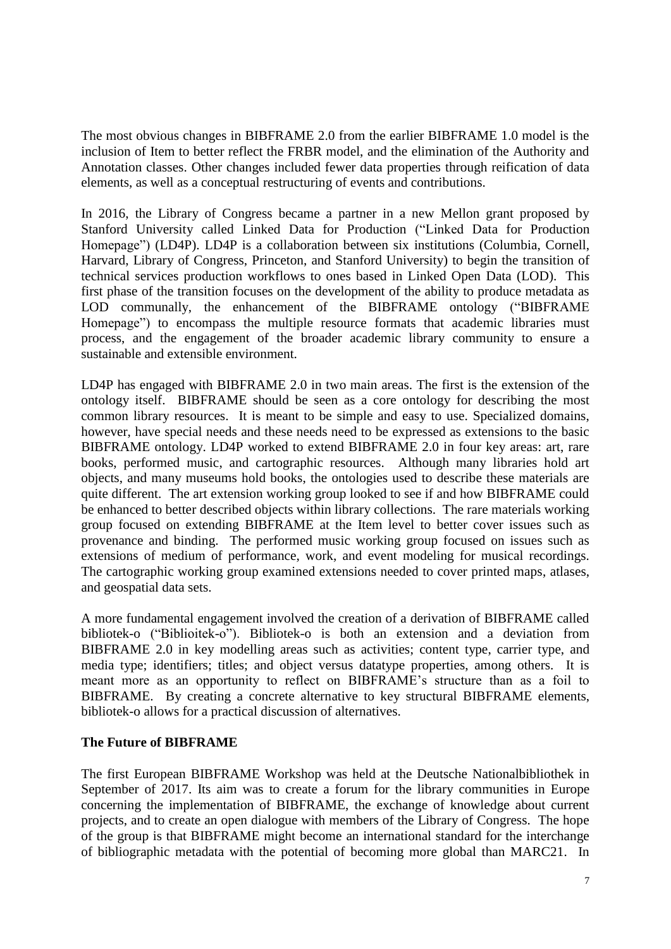The most obvious changes in BIBFRAME 2.0 from the earlier BIBFRAME 1.0 model is the inclusion of Item to better reflect the FRBR model, and the elimination of the Authority and Annotation classes. Other changes included fewer data properties through reification of data elements, as well as a conceptual restructuring of events and contributions.

In 2016, the Library of Congress became a partner in a new Mellon grant proposed by Stanford University called Linked Data for Production ("Linked Data for Production Homepage") (LD4P). LD4P is a collaboration between six institutions (Columbia, Cornell, Harvard, Library of Congress, Princeton, and Stanford University) to begin the transition of technical services production workflows to ones based in Linked Open Data (LOD). This first phase of the transition focuses on the development of the ability to produce metadata as LOD communally, the enhancement of the BIBFRAME ontology ("BIBFRAME Homepage") to encompass the multiple resource formats that academic libraries must process, and the engagement of the broader academic library community to ensure a sustainable and extensible environment.

LD4P has engaged with BIBFRAME 2.0 in two main areas. The first is the extension of the ontology itself. BIBFRAME should be seen as a core ontology for describing the most common library resources. It is meant to be simple and easy to use. Specialized domains, however, have special needs and these needs need to be expressed as extensions to the basic BIBFRAME ontology. LD4P worked to extend BIBFRAME 2.0 in four key areas: art, rare books, performed music, and cartographic resources. Although many libraries hold art objects, and many museums hold books, the ontologies used to describe these materials are quite different. The art extension working group looked to see if and how BIBFRAME could be enhanced to better described objects within library collections. The rare materials working group focused on extending BIBFRAME at the Item level to better cover issues such as provenance and binding. The performed music working group focused on issues such as extensions of medium of performance, work, and event modeling for musical recordings. The cartographic working group examined extensions needed to cover printed maps, atlases, and geospatial data sets.

A more fundamental engagement involved the creation of a derivation of BIBFRAME called bibliotek-o ("Biblioitek-o"). Bibliotek-o is both an extension and a deviation from BIBFRAME 2.0 in key modelling areas such as activities; content type, carrier type, and media type; identifiers; titles; and object versus datatype properties, among others. It is meant more as an opportunity to reflect on BIBFRAME's structure than as a foil to BIBFRAME. By creating a concrete alternative to key structural BIBFRAME elements, bibliotek-o allows for a practical discussion of alternatives.

## **The Future of BIBFRAME**

The first European BIBFRAME Workshop was held at the Deutsche Nationalbibliothek in September of 2017. Its aim was to create a forum for the library communities in Europe concerning the implementation of BIBFRAME, the exchange of knowledge about current projects, and to create an open dialogue with members of the Library of Congress. The hope of the group is that BIBFRAME might become an international standard for the interchange of bibliographic metadata with the potential of becoming more global than MARC21. In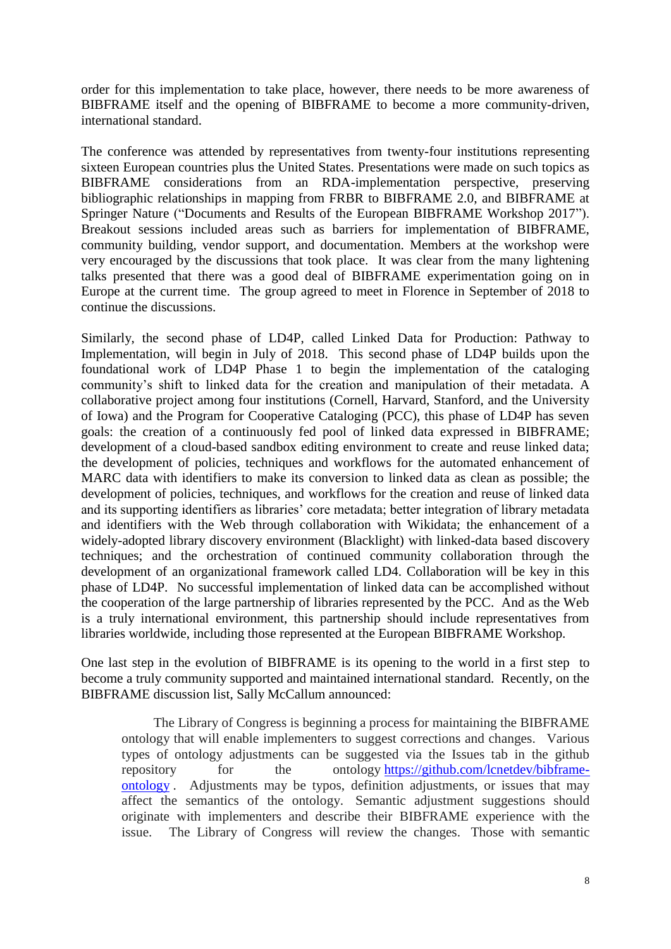order for this implementation to take place, however, there needs to be more awareness of BIBFRAME itself and the opening of BIBFRAME to become a more community-driven, international standard.

The conference was attended by representatives from twenty-four institutions representing sixteen European countries plus the United States. Presentations were made on such topics as BIBFRAME considerations from an RDA-implementation perspective, preserving bibliographic relationships in mapping from FRBR to BIBFRAME 2.0, and BIBFRAME at Springer Nature ("Documents and Results of the European BIBFRAME Workshop 2017"). Breakout sessions included areas such as barriers for implementation of BIBFRAME, community building, vendor support, and documentation. Members at the workshop were very encouraged by the discussions that took place. It was clear from the many lightening talks presented that there was a good deal of BIBFRAME experimentation going on in Europe at the current time. The group agreed to meet in Florence in September of 2018 to continue the discussions.

Similarly, the second phase of LD4P, called Linked Data for Production: Pathway to Implementation, will begin in July of 2018. This second phase of LD4P builds upon the foundational work of LD4P Phase 1 to begin the implementation of the cataloging community's shift to linked data for the creation and manipulation of their metadata. A collaborative project among four institutions (Cornell, Harvard, Stanford, and the University of Iowa) and the Program for Cooperative Cataloging (PCC), this phase of LD4P has seven goals: the creation of a continuously fed pool of linked data expressed in BIBFRAME; development of a cloud-based sandbox editing environment to create and reuse linked data; the development of policies, techniques and workflows for the automated enhancement of MARC data with identifiers to make its conversion to linked data as clean as possible; the development of policies, techniques, and workflows for the creation and reuse of linked data and its supporting identifiers as libraries' core metadata; better integration of library metadata and identifiers with the Web through collaboration with Wikidata; the enhancement of a widely-adopted library discovery environment (Blacklight) with linked-data based discovery techniques; and the orchestration of continued community collaboration through the development of an organizational framework called LD4. Collaboration will be key in this phase of LD4P. No successful implementation of linked data can be accomplished without the cooperation of the large partnership of libraries represented by the PCC. And as the Web is a truly international environment, this partnership should include representatives from libraries worldwide, including those represented at the European BIBFRAME Workshop.

One last step in the evolution of BIBFRAME is its opening to the world in a first step to become a truly community supported and maintained international standard. Recently, on the BIBFRAME discussion list, Sally McCallum announced:

The Library of Congress is beginning a process for maintaining the BIBFRAME ontology that will enable implementers to suggest corrections and changes. Various types of ontology adjustments can be suggested via the Issues tab in the github repository for the ontology [https://github.com/lcnetdev/bibframe](https://github.com/lcnetdev/bibframe-ontology)[ontology](https://github.com/lcnetdev/bibframe-ontology) . Adjustments may be typos, definition adjustments, or issues that may affect the semantics of the ontology. Semantic adjustment suggestions should originate with implementers and describe their BIBFRAME experience with the issue. The Library of Congress will review the changes. Those with semantic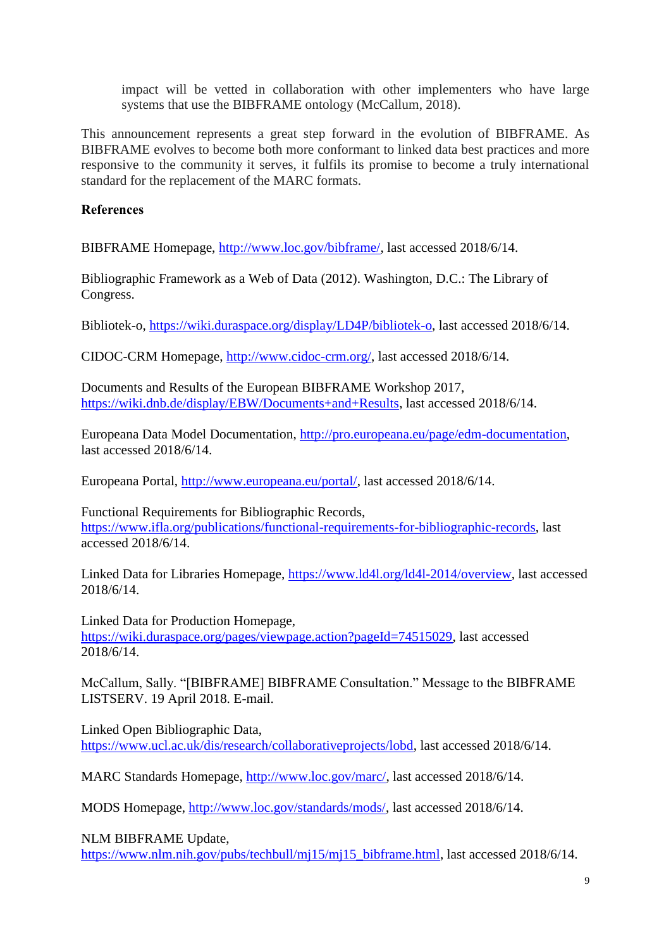impact will be vetted in collaboration with other implementers who have large systems that use the BIBFRAME ontology (McCallum, 2018).

This announcement represents a great step forward in the evolution of BIBFRAME. As BIBFRAME evolves to become both more conformant to linked data best practices and more responsive to the community it serves, it fulfils its promise to become a truly international standard for the replacement of the MARC formats.

**References**

BIBFRAME Homepage, [http://www.loc.gov/bibframe/,](http://www.loc.gov/bibframe/) last accessed 2018/6/14.

Bibliographic Framework as a Web of Data (2012). Washington, D.C.: The Library of Congress.

Bibliotek-o, [https://wiki.duraspace.org/display/LD4P/bibliotek-o,](https://wiki.duraspace.org/display/LD4P/bibliotek-o) last accessed 2018/6/14.

CIDOC-CRM Homepage, [http://www.cidoc-crm.org/,](http://www.cidoc-crm.org/) last accessed 2018/6/14.

Documents and Results of the European BIBFRAME Workshop 2017, [https://wiki.dnb.de/display/EBW/Documents+and+Results,](https://wiki.dnb.de/display/EBW/Documents+and+Results) last accessed 2018/6/14.

Europeana Data Model Documentation, [http://pro.europeana.eu/page/edm-documentation,](http://pro.europeana.eu/page/edm-documentation) last accessed 2018/6/14.

Europeana Portal, [http://www.europeana.eu/portal/,](http://www.europeana.eu/portal/) last accessed 2018/6/14.

Functional Requirements for Bibliographic Records, [https://www.ifla.org/publications/functional-requirements-for-bibliographic-records,](https://www.ifla.org/publications/functional-requirements-for-bibliographic-records) last accessed 2018/6/14.

Linked Data for Libraries Homepage, [https://www.ld4l.org/ld4l-2014/overview,](https://www.ld4l.org/ld4l-2014/overview) last accessed 2018/6/14.

Linked Data for Production Homepage, [https://wiki.duraspace.org/pages/viewpage.action?pageId=74515029,](https://wiki.duraspace.org/pages/viewpage.action?pageId=74515029) last accessed 2018/6/14.

McCallum, Sally. "[BIBFRAME] BIBFRAME Consultation." Message to the BIBFRAME LISTSERV. 19 April 2018. E-mail.

Linked Open Bibliographic Data, [https://www.ucl.ac.uk/dis/research/collaborativeprojects/lobd,](https://www.ucl.ac.uk/dis/research/collaborativeprojects/lobd) last accessed 2018/6/14.

MARC Standards Homepage, [http://www.loc.gov/marc/,](http://www.loc.gov/marc/) last accessed 2018/6/14.

MODS Homepage, [http://www.loc.gov/standards/mods/,](http://www.loc.gov/standards/mods/) last accessed 2018/6/14.

NLM BIBFRAME Update,

[https://www.nlm.nih.gov/pubs/techbull/mj15/mj15\\_bibframe.html,](https://www.nlm.nih.gov/pubs/techbull/mj15/mj15_bibframe.html) last accessed 2018/6/14.